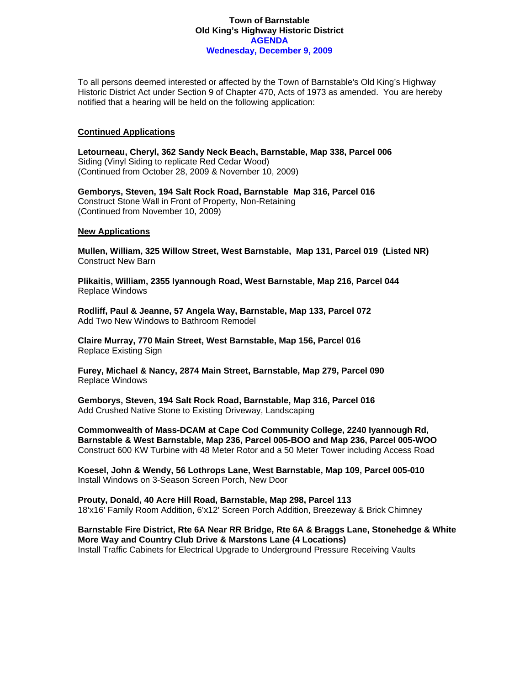### **Town of Barnstable Old King's Highway Historic District AGENDA Wednesday, December 9, 2009**

To all persons deemed interested or affected by the Town of Barnstable's Old King's Highway Historic District Act under Section 9 of Chapter 470, Acts of 1973 as amended. You are hereby notified that a hearing will be held on the following application:

#### **Continued Applications**

**Letourneau, Cheryl, 362 Sandy Neck Beach, Barnstable, Map 338, Parcel 006**  Siding (Vinyl Siding to replicate Red Cedar Wood) (Continued from October 28, 2009 & November 10, 2009)

**Gemborys, Steven, 194 Salt Rock Road, Barnstable Map 316, Parcel 016**  Construct Stone Wall in Front of Property, Non-Retaining (Continued from November 10, 2009)

#### **New Applications**

**Mullen, William, 325 Willow Street, West Barnstable, Map 131, Parcel 019 (Listed NR)**  Construct New Barn

**Plikaitis, William, 2355 Iyannough Road, West Barnstable, Map 216, Parcel 044**  Replace Windows

**Rodliff, Paul & Jeanne, 57 Angela Way, Barnstable, Map 133, Parcel 072**  Add Two New Windows to Bathroom Remodel

**Claire Murray, 770 Main Street, West Barnstable, Map 156, Parcel 016**  Replace Existing Sign

**Furey, Michael & Nancy, 2874 Main Street, Barnstable, Map 279, Parcel 090**  Replace Windows

**Gemborys, Steven, 194 Salt Rock Road, Barnstable, Map 316, Parcel 016**  Add Crushed Native Stone to Existing Driveway, Landscaping

**Commonwealth of Mass-DCAM at Cape Cod Community College, 2240 Iyannough Rd, Barnstable & West Barnstable, Map 236, Parcel 005-BOO and Map 236, Parcel 005-WOO**  Construct 600 KW Turbine with 48 Meter Rotor and a 50 Meter Tower including Access Road

**Koesel, John & Wendy, 56 Lothrops Lane, West Barnstable, Map 109, Parcel 005-010**  Install Windows on 3-Season Screen Porch, New Door

**Prouty, Donald, 40 Acre Hill Road, Barnstable, Map 298, Parcel 113**  18'x16' Family Room Addition, 6'x12' Screen Porch Addition, Breezeway & Brick Chimney

**Barnstable Fire District, Rte 6A Near RR Bridge, Rte 6A & Braggs Lane, Stonehedge & White More Way and Country Club Drive & Marstons Lane (4 Locations)**  Install Traffic Cabinets for Electrical Upgrade to Underground Pressure Receiving Vaults